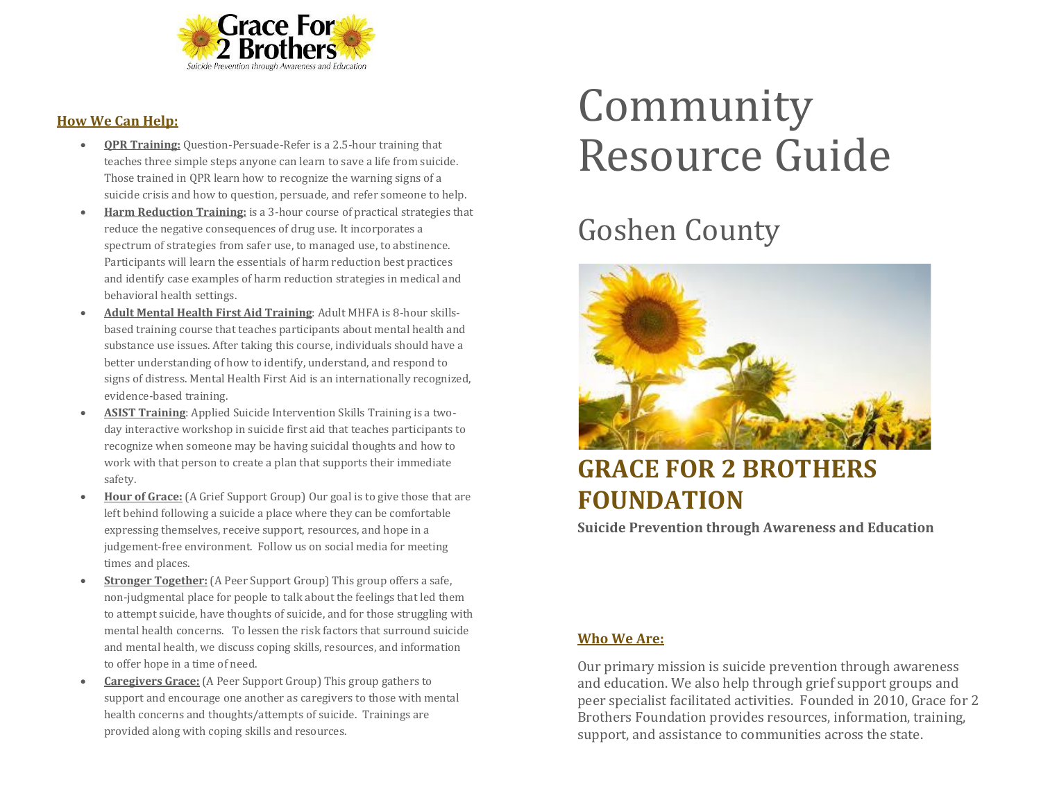

#### **How We Can Help:**

- **QPR Training:** Question-Persuade-Refer is a 2.5-hour training that teaches three simple steps anyone can learn to save a life from suicide. Those trained in QPR learn how to recognize the warning signs of a suicide crisis and how to question, persuade, and refer someone to help.
- **Harm Reduction Training:** is a 3-hour course of practical strategies that reduce the negative consequences of drug use. It incorporates a spectrum of strategies from safer use, to managed use, to abstinence. Participants will learn the essentials of harm reduction best practices and identify case examples of harm reduction strategies in medical and behavioral health settings.
- **Adult Mental Health First Aid Training**: Adult MHFA is 8-hour skillsbased training course that teaches participants about mental health and substance use issues. After taking this course, individuals should have a better understanding of how to identify, understand, and respond to signs of distress. Mental Health First Aid is an internationally recognized, evidence-based training.
- **ASIST Training**: Applied Suicide Intervention Skills Training is a twoday interactive workshop in suicide first aid that teaches participants to recognize when someone may be having suicidal thoughts and how to work with that person to create a plan that supports their immediate safety.
- **Hour of Grace:** (A Grief Support Group) Our goal is to give those that are left behind following a suicide a place where they can be comfortable expressing themselves, receive support, resources, and hope in a judgement-free environment. Follow us on social media for meeting times and places.
- **Stronger Together:** (A Peer Support Group) This group offers a safe, non-judgmental place for people to talk about the feelings that led them to attempt suicide, have thoughts of suicide, and for those struggling with mental health concerns. To lessen the risk factors that surround suicide and mental health, we discuss coping skills, resources, and information to offer hope in a time of need.
- **Caregivers Grace:** (A Peer Support Group) This group gathers to support and encourage one another as caregivers to those with mental health concerns and thoughts/attempts of suicide. Trainings are provided along with coping skills and resources.

# Community Resource Guide

## Goshen County



### **GRACE FOR 2 BROTHERS FOUNDATION**

**Suicide Prevention through Awareness and Education**

#### **Who We Are:**

Our primary mission is suicide prevention through awareness and education. We also help through grief support groups and peer specialist facilitated activities. Founded in 2010, Grace for 2 Brothers Foundation provides resources, information, training, support, and assistance to communities across the state.